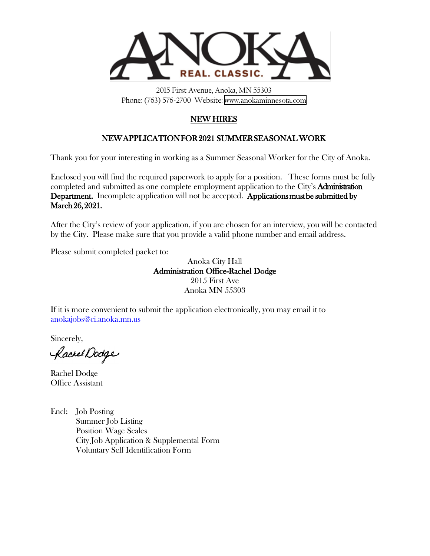

2015 First Avenue, Anoka, MN 55303 Phone: (763) 576-2700 Website: [www.anokaminnesota.com](https://www.anokaminnesota.com)

### NEW HIRES

### NEW APPLICATION FOR 2021 SUMMER SEASONAL WORK

Thank you for your interesting in working as a Summer Seasonal Worker for the City of Anoka.

Enclosed you will find the required paperwork to apply for a position. These forms must be fully completed and submitted as one complete employment application to the City's Administration Department. Incomplete application will not be accepted. Applications must be submitted by March 26, 2021.

After the City's review of your application, if you are chosen for an interview, you will be contacted by the City. Please make sure that you provide a valid phone number and email address.

Please submit completed packet to:

Anoka City Hall Administration Office-Rachel Dodge 2015 First Ave Anoka MN 55303

If it is more convenient to submit the application electronically, you may email it to [anokajobs@ci.anoka.mn.us](mailto:anokajobs@ci.anoka.mn.us) 

Sincerely,

Rachel Dodge

Rachel Dodge Office Assistant

Encl: Job Posting Summer Job Listing Position Wage Scales City Job Application & Supplemental Form Voluntary Self Identification Form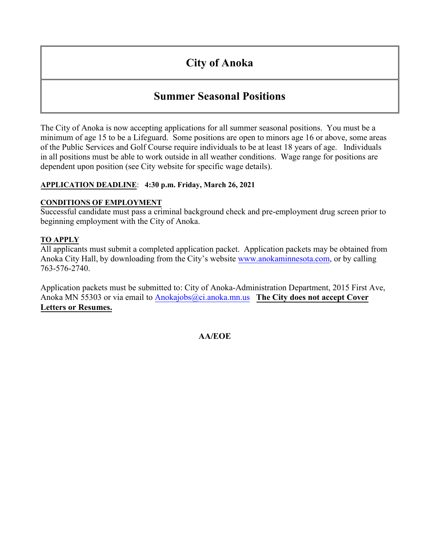# **City of Anoka**

## **Summer Seasonal Positions**

The City of Anoka is now accepting applications for all summer seasonal positions. You must be a minimum of age 15 to be a Lifeguard. Some positions are open to minors age 16 or above, some areas of the Public Services and Golf Course require individuals to be at least 18 years of age. Individuals in all positions must be able to work outside in all weather conditions. Wage range for positions are dependent upon position (see City website for specific wage details).

#### **APPLICATION DEADLINE**: **4:30 p.m. Friday, March 26, 2021**

#### **CONDITIONS OF EMPLOYMENT**

Successful candidate must pass a criminal background check and pre-employment drug screen prior to beginning employment with the City of Anoka.

#### **TO APPLY**

All applicants must submit a completed application packet. Application packets may be obtained from Anoka City Hall, by downloading from the City's website [www.anokaminnesota.com](http://www.ci.anoka.mn.us/), or by calling 763-576-2740.

Application packets must be submitted to: City of Anoka-Administration Department, 2015 First Ave, Anoka MN 55303 or via email to [Anokajobs@ci.anoka.mn.us](mailto:Anokajobs@ci.anoka.mn.us) **The City does not accept Cover Letters or Resumes.**

#### **AA/EOE**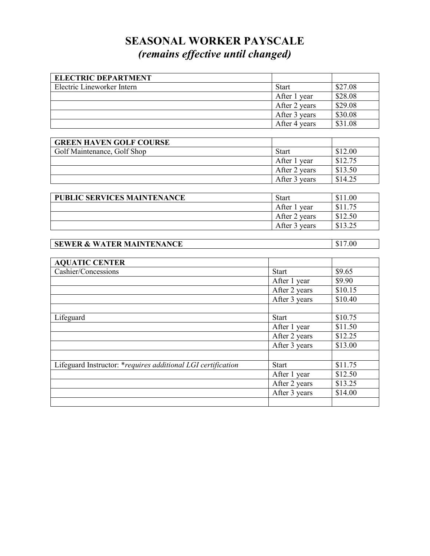# **SEASONAL WORKER PAYSCALE** *(remains effective until changed)*

| <b>ELECTRIC DEPARTMENT</b> |               |         |
|----------------------------|---------------|---------|
| Electric Lineworker Intern | <b>Start</b>  | \$27.08 |
|                            | After 1 year  | \$28.08 |
|                            | After 2 years | \$29.08 |
|                            | After 3 years | \$30.08 |
|                            | After 4 years | \$31.08 |

| <b>GREEN HAVEN GOLF COURSE</b> |               |         |
|--------------------------------|---------------|---------|
| Golf Maintenance, Golf Shop    | <b>Start</b>  | \$12.00 |
|                                | After 1 year  | \$12.75 |
|                                | After 2 years | \$13.50 |
|                                | After 3 years | \$14.25 |

| <b>PUBLIC SERVICES MAINTENANCE</b> | Start           | \$11.00 |
|------------------------------------|-----------------|---------|
|                                    | After 1<br>vear | \$11.75 |
|                                    | After 2 years   | \$12.50 |
|                                    | After 3 years   |         |

## **SEWER & WATER MAINTENANCE** \$17.00

| <b>AQUATIC CENTER</b>                                        |               |         |
|--------------------------------------------------------------|---------------|---------|
| Cashier/Concessions                                          | <b>Start</b>  | \$9.65  |
|                                                              | After 1 year  | \$9.90  |
|                                                              | After 2 years | \$10.15 |
|                                                              | After 3 years | \$10.40 |
|                                                              |               |         |
| Lifeguard                                                    | <b>Start</b>  | \$10.75 |
|                                                              | After 1 year  | \$11.50 |
|                                                              | After 2 years | \$12.25 |
|                                                              | After 3 years | \$13.00 |
|                                                              |               |         |
| Lifeguard Instructor: *requires additional LGI certification | Start         | \$11.75 |
|                                                              | After 1 year  | \$12.50 |
|                                                              | After 2 years | \$13.25 |
|                                                              | After 3 years | \$14.00 |
|                                                              |               |         |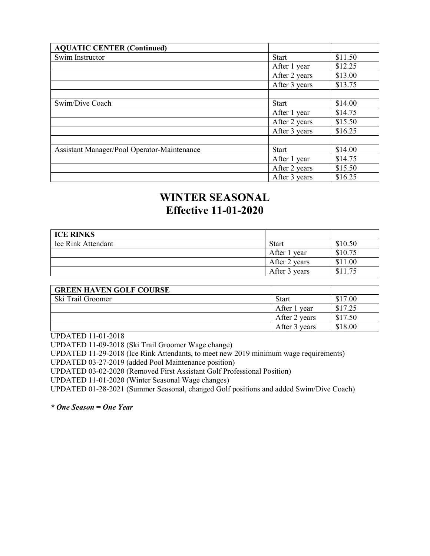| <b>AQUATIC CENTER (Continued)</b>           |               |         |
|---------------------------------------------|---------------|---------|
| Swim Instructor                             | <b>Start</b>  | \$11.50 |
|                                             | After 1 year  | \$12.25 |
|                                             | After 2 years | \$13.00 |
|                                             | After 3 years | \$13.75 |
|                                             |               |         |
| Swim/Dive Coach                             | <b>Start</b>  | \$14.00 |
|                                             | After 1 year  | \$14.75 |
|                                             | After 2 years | \$15.50 |
|                                             | After 3 years | \$16.25 |
|                                             |               |         |
| Assistant Manager/Pool Operator-Maintenance | <b>Start</b>  | \$14.00 |
|                                             | After 1 year  | \$14.75 |
|                                             | After 2 years | \$15.50 |
|                                             | After 3 years | \$16.25 |

# **WINTER SEASONAL Effective 11-01-2020**

| <b>ICE RINKS</b>   |               |         |
|--------------------|---------------|---------|
| Ice Rink Attendant | <b>Start</b>  | \$10.50 |
|                    | After 1 year  | \$10.75 |
|                    | After 2 years | \$11.00 |
|                    | After 3 years | \$11.75 |

| <b>GREEN HAVEN GOLF COURSE</b> |               |         |
|--------------------------------|---------------|---------|
| Ski Trail Groomer              | Start         | \$17.00 |
|                                | After 1 year  | \$17.25 |
|                                | After 2 years | \$17.50 |
|                                | After 3 years | \$18.00 |

UPDATED 11-01-2018

UPDATED 11-09-2018 (Ski Trail Groomer Wage change)

UPDATED 11-29-2018 (Ice Rink Attendants, to meet new 2019 minimum wage requirements)

UPDATED 03-27-2019 (added Pool Maintenance position)

UPDATED 03-02-2020 (Removed First Assistant Golf Professional Position)

UPDATED 11-01-2020 (Winter Seasonal Wage changes)

UPDATED 01-28-2021 (Summer Seasonal, changed Golf positions and added Swim/Dive Coach)

*\* One Season = One Year*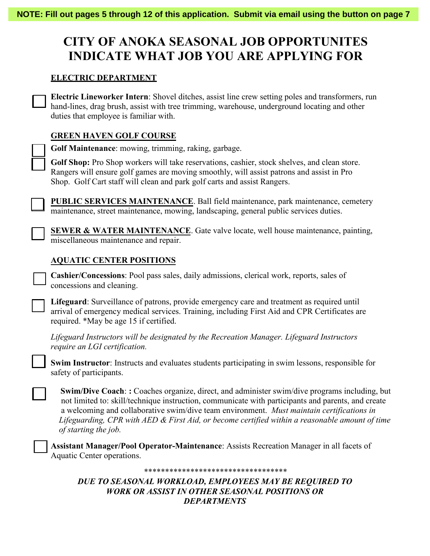# **CITY OF ANOKA SEASONAL JOB OPPORTUNITES INDICATE WHAT JOB YOU ARE APPLYING FOR**

#### **ELECTRIC DEPARTMENT**

**Electric Lineworker Intern**: Shovel ditches, assist line crew setting poles and transformers, run hand-lines, drag brush, assist with tree trimming, warehouse, underground locating and other duties that employee is familiar with.

#### **GREEN HAVEN GOLF COURSE**

**Golf Maintenance**: mowing, trimming, raking, garbage.

**Golf Shop:** Pro Shop workers will take reservations, cashier, stock shelves, and clean store. Rangers will ensure golf games are moving smoothly, will assist patrons and assist in Pro Shop. Golf Cart staff will clean and park golf carts and assist Rangers.

**PUBLIC SERVICES MAINTENANCE**. Ball field maintenance, park maintenance, cemetery maintenance, street maintenance, mowing, landscaping, general public services duties.

**SEWER & WATER MAINTENANCE**. Gate valve locate, well house maintenance, painting, miscellaneous maintenance and repair.

#### **AQUATIC CENTER POSITIONS**

**Cashier/Concessions**: Pool pass sales, daily admissions, clerical work, reports, sales of concessions and cleaning.

**Lifeguard**: Surveillance of patrons, provide emergency care and treatment as required until arrival of emergency medical services. Training, including First Aid and CPR Certificates are required. \*May be age 15 if certified.

*Lifeguard Instructors will be designated by the Recreation Manager. Lifeguard Instructors require an LGI certification.* 

**Swim Instructor**: Instructs and evaluates students participating in swim lessons, responsible for safety of participants.

 **Swim/Dive Coach**: **:** Coaches organize, direct, and administer swim/dive programs including, but not limited to: skill/technique instruction, communicate with participants and parents, and create a welcoming and collaborative swim/dive team environment. *Must maintain certifications in Lifeguarding, CPR with AED & First Aid, or become certified within a reasonable amount of time of starting the job.*

**Assistant Manager/Pool Operator-Maintenance**: Assists Recreation Manager in all facets of Aquatic Center operations.

#### *\*\*\*\*\*\*\*\*\*\*\*\*\*\*\*\*\*\*\*\*\*\*\*\*\*\*\*\*\*\*\*\*\*\**

*DUE TO SEASONAL WORKLOAD, EMPLOYEES MAY BE REQUIRED TO WORK OR ASSIST IN OTHER SEASONAL POSITIONS OR DEPARTMENTS*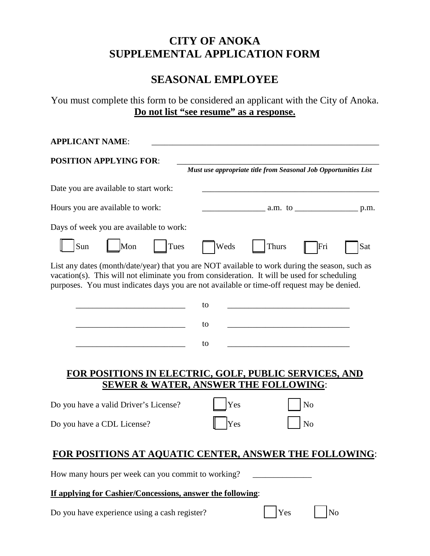## **CITY OF ANOKA SUPPLEMENTAL APPLICATION FORM**

# **SEASONAL EMPLOYEE**

You must complete this form to be considered an applicant with the City of Anoka. **Do not list "see resume" as a response.**

| <b>APPLICANT NAME:</b>                                                                                                                                                                                                                                                                      |
|---------------------------------------------------------------------------------------------------------------------------------------------------------------------------------------------------------------------------------------------------------------------------------------------|
| <b>POSITION APPLYING FOR:</b><br>Must use appropriate title from Seasonal Job Opportunities List                                                                                                                                                                                            |
| Date you are available to start work:                                                                                                                                                                                                                                                       |
| Hours you are available to work:                                                                                                                                                                                                                                                            |
| Days of week you are available to work:                                                                                                                                                                                                                                                     |
| Sun<br>Tues<br>Mon<br>Weds<br><b>Thurs</b><br>Sat<br>Fri                                                                                                                                                                                                                                    |
| List any dates (month/date/year) that you are NOT available to work during the season, such as<br>vacation(s). This will not eliminate you from consideration. It will be used for scheduling<br>purposes. You must indicates days you are not available or time-off request may be denied. |
| to                                                                                                                                                                                                                                                                                          |
| to                                                                                                                                                                                                                                                                                          |
| to                                                                                                                                                                                                                                                                                          |
| FOR POSITIONS IN ELECTRIC, GOLF, PUBLIC SERVICES, AND<br><b>SEWER &amp; WATER, ANSWER THE FOLLOWING:</b>                                                                                                                                                                                    |
| Do you have a valid Driver's License?<br>Yes<br>N <sub>o</sub>                                                                                                                                                                                                                              |
| N <sub>o</sub><br>Do you have a CDL License?<br>Yes                                                                                                                                                                                                                                         |
| FOR POSITIONS AT AQUATIC CENTER, ANSWER THE FOLLOWING:                                                                                                                                                                                                                                      |
| How many hours per week can you commit to working?                                                                                                                                                                                                                                          |
| If applying for Cashier/Concessions, answer the following:                                                                                                                                                                                                                                  |
| Do you have experience using a cash register?<br>Yes<br>No                                                                                                                                                                                                                                  |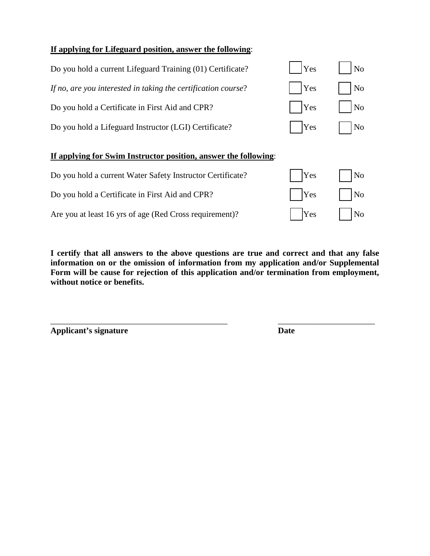#### **If applying for Lifeguard position, answer the following**:

| Do you hold a current Lifeguard Training (01) Certificate?      | Yes        | No                  |
|-----------------------------------------------------------------|------------|---------------------|
| If no, are you interested in taking the certification course?   | <b>Yes</b> | N <sub>o</sub>      |
| Do you hold a Certificate in First Aid and CPR?                 | <b>Yes</b> | N <sub>o</sub>      |
| Do you hold a Lifeguard Instructor (LGI) Certificate?           | Yes        | $\overline{\rm No}$ |
| If applying for Swim Instructor position, answer the following: |            |                     |
| Do you hold a current Water Safety Instructor Certificate?      | Yes        | No                  |

Do you hold a Certificate in First Aid and CPR?  $\bigcap_{Y \in S} Y$   $\bigcap_{Y \in S} Y$ 

Are you at least 16 yrs of age (Red Cross requirement)?  $\vert$  | Yes | | No

**I certify that all answers to the above questions are true and correct and that any false information on or the omission of information from my application and/or Supplemental Form will be cause for rejection of this application and/or termination from employment, without notice or benefits.**

\_\_\_\_\_\_\_\_\_\_\_\_\_\_\_\_\_\_\_\_\_\_\_\_\_\_\_\_\_\_\_\_\_\_\_\_\_\_\_\_\_\_ \_\_\_\_\_\_\_\_\_\_\_\_\_\_\_\_\_\_\_\_\_\_\_

**Applicant's signature Date**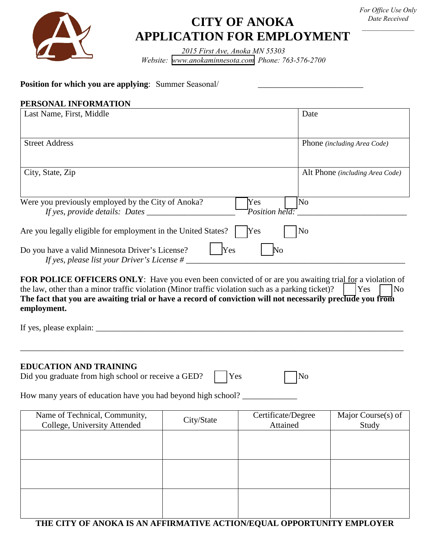

# **CITY OF ANOKA APPLICATION FOR EMPLOYMENT**

*2015 First Ave, Anoka MN 55303 Website: [www.anokaminnesota.com](https://www.anokaminnesota.com) Phone: 763-576-2700*

#### **Position for which you are applying**: Summer Seasonal/ **Consequently and Consequently Seasonal**

#### **PERSONAL INFORMATION**

| Last Name, First, Middle                                                                                      | Date                            |
|---------------------------------------------------------------------------------------------------------------|---------------------------------|
|                                                                                                               |                                 |
| <b>Street Address</b>                                                                                         | Phone (including Area Code)     |
| City, State, Zip                                                                                              | Alt Phone (including Area Code) |
| Were you previously employed by the City of Anoka?<br>Yes<br>Position held:<br>If yes, provide details: Dates | $\overline{\rm No}$             |
| Are you legally eligible for employment in the United States?<br>Yes                                          | N <sub>0</sub>                  |
| Yes<br>Do you have a valid Minnesota Driver's License?<br>No<br>If yes, please list your Driver's License #   |                                 |

FOR POLICE OFFICERS ONLY: Have you even been convicted of or are you awaiting trial for a violation of the law, other than a minor traffic violation (Minor traffic violation such as a parking ticket)?  $\Box$  Yes  $\Box$  No **The fact that you are awaiting trial or have a record of conviction will not necessarily preclude you from employment.**

\_\_\_\_\_\_\_\_\_\_\_\_\_\_\_\_\_\_\_\_\_\_\_\_\_\_\_\_\_\_\_\_\_\_\_\_\_\_\_\_\_\_\_\_\_\_\_\_\_\_\_\_\_\_\_\_\_\_\_\_\_\_\_\_\_\_\_\_\_\_\_\_\_\_\_\_\_\_\_\_\_\_\_\_\_\_\_\_\_\_\_

If yes, please explain:  $\Box$ 

#### **EDUCATION AND TRAINING**

| Did you graduate from high school or receive a GED? |  | Yes |  | N <sub>0</sub> |
|-----------------------------------------------------|--|-----|--|----------------|
|-----------------------------------------------------|--|-----|--|----------------|

How many years of education have you had beyond high school? \_\_\_\_\_\_\_\_\_\_\_\_\_\_\_\_\_\_\_

| Name of Technical, Community,<br>College, University Attended | City/State | Certificate/Degree<br>Attained | Major Course(s) of<br>Study |
|---------------------------------------------------------------|------------|--------------------------------|-----------------------------|
|                                                               |            |                                |                             |
|                                                               |            |                                |                             |
|                                                               |            |                                |                             |
|                                                               |            |                                |                             |
|                                                               |            |                                |                             |

#### **THE CITY OF ANOKA IS AN AFFIRMATIVE ACTION/EQUAL OPPORTUNITY EMPLOYER**

*For Office Use Only Date Received \_\_\_\_\_\_\_\_\_\_\_\_\_\_\_*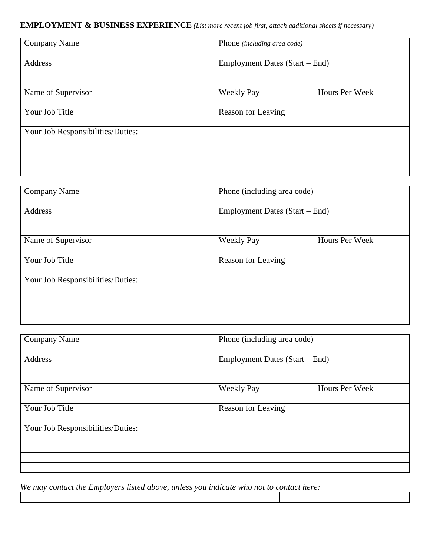#### **EMPLOYMENT & BUSINESS EXPERIENCE** *(List more recent job first, attach additional sheets if necessary)*

| <b>Company Name</b>               | Phone (including area code)    |                |
|-----------------------------------|--------------------------------|----------------|
| Address                           | Employment Dates (Start – End) |                |
| Name of Supervisor                | <b>Weekly Pay</b>              | Hours Per Week |
| Your Job Title                    | Reason for Leaving             |                |
| Your Job Responsibilities/Duties: |                                |                |
|                                   |                                |                |
|                                   |                                |                |
|                                   |                                |                |

| <b>Company Name</b>               | Phone (including area code)    |                |
|-----------------------------------|--------------------------------|----------------|
| Address                           | Employment Dates (Start – End) |                |
| Name of Supervisor                | <b>Weekly Pay</b>              | Hours Per Week |
| Your Job Title                    | Reason for Leaving             |                |
| Your Job Responsibilities/Duties: |                                |                |
|                                   |                                |                |
|                                   |                                |                |

| <b>Company Name</b>               | Phone (including area code)    |                |  |
|-----------------------------------|--------------------------------|----------------|--|
| <b>Address</b>                    | Employment Dates (Start – End) |                |  |
| Name of Supervisor                | <b>Weekly Pay</b>              | Hours Per Week |  |
| Your Job Title                    | Reason for Leaving             |                |  |
| Your Job Responsibilities/Duties: |                                |                |  |
|                                   |                                |                |  |
|                                   |                                |                |  |

*We may contact the Employers listed above, unless you indicate who not to contact here:*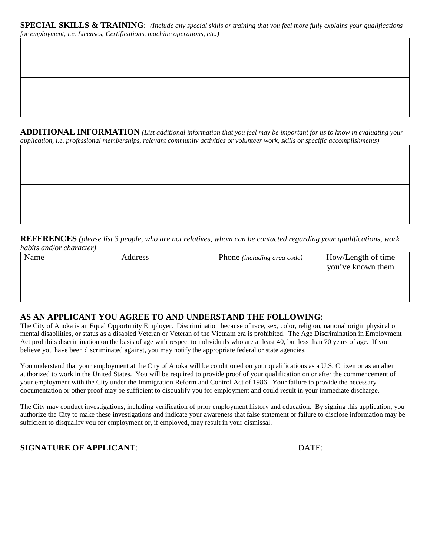**SPECIAL SKILLS & TRAINING**: *(Include any special skills or training that you feel more fully explains your qualifications for employment, i.e. Licenses, Certifications, machine operations, etc.)*

**ADDITIONAL INFORMATION** *(List additional information that you feel may be important for us to know in evaluating your application, i.e. professional memberships, relevant community activities or volunteer work, skills or specific accomplishments)*

**REFERENCES** *(please list 3 people, who are not relatives, whom can be contacted regarding your qualifications, work* 

#### **AS AN APPLICANT YOU AGREE TO AND UNDERSTAND THE FOLLOWING**:

The City of Anoka is an Equal Opportunity Employer. Discrimination because of race, sex, color, religion, national origin physical or mental disabilities, or status as a disabled Veteran or Veteran of the Vietnam era is prohibited. The Age Discrimination in Employment Act prohibits discrimination on the basis of age with respect to individuals who are at least 40, but less than 70 years of age. If you believe you have been discriminated against, you may notify the appropriate federal or state agencies.

You understand that your employment at the City of Anoka will be conditioned on your qualifications as a U.S. Citizen or as an alien authorized to work in the United States. You will be required to provide proof of your qualification on or after the commencement of your employment with the City under the Immigration Reform and Control Act of 1986. Your failure to provide the necessary documentation or other proof may be sufficient to disqualify you for employment and could result in your immediate discharge.

The City may conduct investigations, including verification of prior employment history and education. By signing this application, you authorize the City to make these investigations and indicate your awareness that false statement or failure to disclose information may be sufficient to disqualify you for employment or, if employed, may result in your dismissal.

**SIGNATURE OF APPLICANT**: \_\_\_\_\_\_\_\_\_\_\_\_\_\_\_\_\_\_\_\_\_\_\_\_\_\_\_\_\_\_\_\_\_\_\_ DATE: \_\_\_\_\_\_\_\_\_\_\_\_\_\_\_\_\_\_\_

*habits and/or character)* 

| Name | Address | Phone <i>(including area code)</i> | How/Length of time<br>you've known them |
|------|---------|------------------------------------|-----------------------------------------|
|      |         |                                    |                                         |
|      |         |                                    |                                         |
|      |         |                                    |                                         |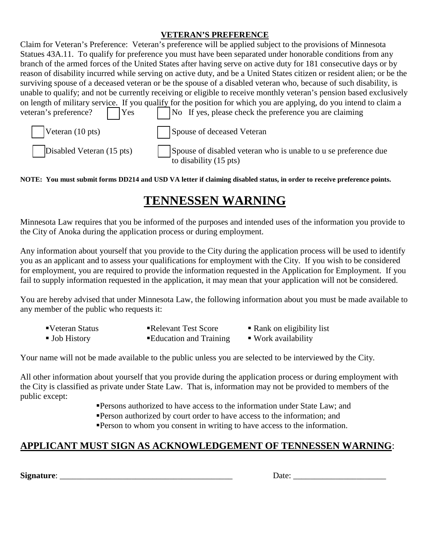#### **VETERAN'S PREFERENCE**

|                              | Claim for Veteran's Preference: Veteran's preference will be applied subject to the provisions of Minnesota             |
|------------------------------|-------------------------------------------------------------------------------------------------------------------------|
|                              | Statues 43A.11. To qualify for preference you must have been separated under honorable conditions from any              |
|                              | branch of the armed forces of the United States after having serve on active duty for 181 consecutive days or by        |
|                              | reason of disability incurred while serving on active duty, and be a United States citizen or resident alien; or be the |
|                              | surviving spouse of a deceased veteran or be the spouse of a disabled veteran who, because of such disability, is       |
|                              | unable to qualify; and not be currently receiving or eligible to receive monthly veteran's pension based exclusively    |
|                              | on length of military service. If you qualify for the position for which you are applying, do you intend to claim a     |
| veteran's preference?<br>Yes | No If yes, please check the preference you are claiming                                                                 |
| Veteran (10 pts)             | Spouse of deceased Veteran                                                                                              |
| Disabled Veteran (15 pts)    | Spouse of disabled veteran who is unable to u se preference due<br>to disability $(15 \text{ pts})$                     |

#### **NOTE: You must submit forms DD214 and USD VA letter if claiming disabled status, in order to receive preference points.**

# **TENNESSEN WARNING**

Minnesota Law requires that you be informed of the purposes and intended uses of the information you provide to the City of Anoka during the application process or during employment.

Any information about yourself that you provide to the City during the application process will be used to identify you as an applicant and to assess your qualifications for employment with the City. If you wish to be considered for employment, you are required to provide the information requested in the Application for Employment. If you fail to supply information requested in the application, it may mean that your application will not be considered.

You are hereby advised that under Minnesota Law, the following information about you must be made available to any member of the public who requests it:

- ■Veteran Status ■Relevant Test Score Rank on eligibility list
- 
- 
- Job History **Education and Training** Work availability
- 

Your name will not be made available to the public unless you are selected to be interviewed by the City.

All other information about yourself that you provide during the application process or during employment with the City is classified as private under State Law. That is, information may not be provided to members of the public except:

- **Persons authorized to have access to the information under State Law; and**
- Person authorized by court order to have access to the information; and
- Person to whom you consent in writing to have access to the information.

# **APPLICANT MUST SIGN AS ACKNOWLEDGEMENT OF TENNESSEN WARNING**:

**Signature**: \_\_\_\_\_\_\_\_\_\_\_\_\_\_\_\_\_\_\_\_\_\_\_\_\_\_\_\_\_\_\_\_\_\_\_\_\_\_\_\_\_ Date: \_\_\_\_\_\_\_\_\_\_\_\_\_\_\_\_\_\_\_\_\_\_